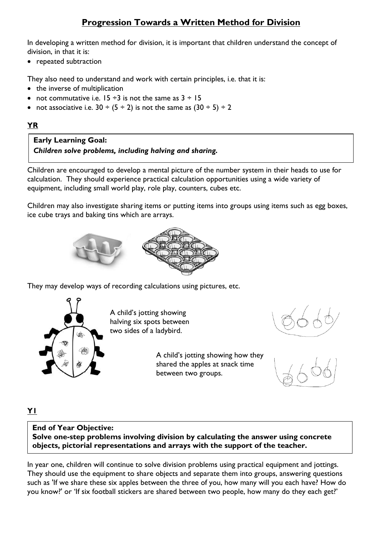# **Progression Towards a Written Method for Division**

In developing a written method for division, it is important that children understand the concept of division, in that it is:

• repeated subtraction

They also need to understand and work with certain principles, i.e. that it is:

- the inverse of multiplication
- not commutative i.e.  $15 \div 3$  is not the same as  $3 \div 15$
- not associative i.e.  $30 \div (5 \div 2)$  is not the same as  $(30 \div 5) \div 2$

### **YR**

## **Early Learning Goal:** *Children solve problems, including halving and sharing.*

Children are encouraged to develop a mental picture of the number system in their heads to use for calculation. They should experience practical calculation opportunities using a wide variety of equipment, including small world play, role play, counters, cubes etc.

Children may also investigate sharing items or putting items into groups using items such as egg boxes, ice cube trays and baking tins which are arrays.



They may develop ways of recording calculations using pictures, etc.



A child's jotting showing halving six spots between two sides of a ladybird.

> A child's jotting showing how they shared the apples at snack time between two groups.



**Y1**

**End of Year Objective: Solve one-step problems involving division by calculating the answer using concrete objects, pictorial representations and arrays with the support of the teacher.**

In year one, children will continue to solve division problems using practical equipment and jottings. They should use the equipment to share objects and separate them into groups, answering questions such as 'If we share these six apples between the three of you, how many will you each have? How do you know?' or 'If six football stickers are shared between two people, how many do they each get?'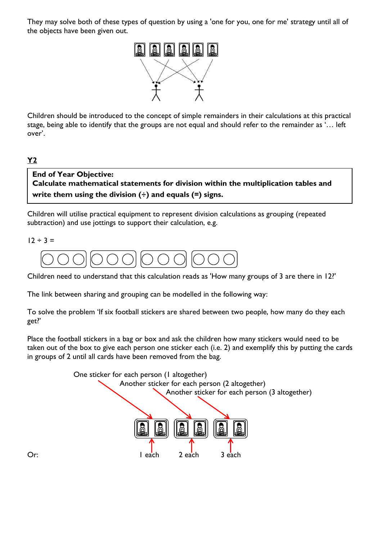They may solve both of these types of question by using a 'one for you, one for me' strategy until all of the objects have been given out.



Children should be introduced to the concept of simple remainders in their calculations at this practical stage, being able to identify that the groups are not equal and should refer to the remainder as '… left over'.

**Y2**

## **End of Year Objective:**

**Calculate mathematical statements for division within the multiplication tables and write them using the division (÷) and equals (=) signs.**

Children will utilise practical equipment to represent division calculations as grouping (repeated subtraction) and use jottings to support their calculation, e.g.

 $12 \div 3 =$ 



Children need to understand that this calculation reads as 'How many groups of 3 are there in 12?'

The link between sharing and grouping can be modelled in the following way:

To solve the problem 'If six football stickers are shared between two people, how many do they each get?'

Place the football stickers in a bag or box and ask the children how many stickers would need to be taken out of the box to give each person one sticker each (i.e. 2) and exemplify this by putting the cards in groups of 2 until all cards have been removed from the bag.

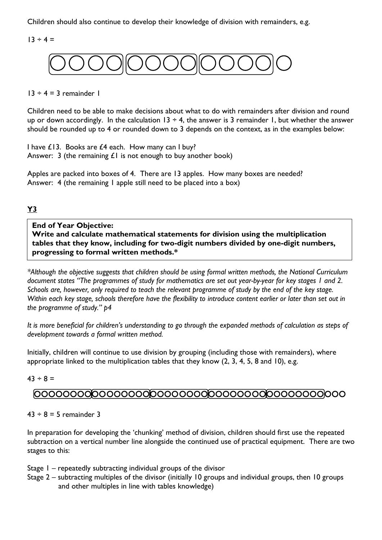Children should also continue to develop their knowledge of division with remainders, e.g.

 $13 \div 4 =$ 



#### $13 \div 4 = 3$  remainder 1

Children need to be able to make decisions about what to do with remainders after division and round up or down accordingly. In the calculation  $13 \div 4$ , the answer is 3 remainder 1, but whether the answer should be rounded up to 4 or rounded down to 3 depends on the context, as in the examples below:

I have £13. Books are £4 each. How many can I buy? Answer: 3 (the remaining  $£1$  is not enough to buy another book)

Apples are packed into boxes of 4. There are 13 apples. How many boxes are needed? Answer: 4 (the remaining 1 apple still need to be placed into a box)

#### **Y3**

**End of Year Objective: Write and calculate mathematical statements for division using the multiplication tables that they know, including for two-digit numbers divided by one-digit numbers, progressing to formal written methods.\***

*\*Although the objective suggests that children should be using formal written methods, the National Curriculum document states "The programmes of study for mathematics are set out year-by-year for key stages 1 and 2. Schools are, however, only required to teach the relevant programme of study by the end of the key stage. Within each key stage, schools therefore have the flexibility to introduce content earlier or later than set out in the programme of study." p4*

*It is more beneficial for children's understanding to go through the expanded methods of calculation as steps of development towards a formal written method.*

Initially, children will continue to use division by grouping (including those with remainders), where appropriate linked to the multiplication tables that they know (2, 3, 4, 5, 8 and 10), e.g.

 $43 \div 8 =$ 

## 

#### $43 \div 8 = 5$  remainder 3

In preparation for developing the 'chunking' method of division, children should first use the repeated subtraction on a vertical number line alongside the continued use of practical equipment. There are two stages to this:

Stage 1 – repeatedly subtracting individual groups of the divisor

Stage 2 – subtracting multiples of the divisor (initially 10 groups and individual groups, then 10 groups and other multiples in line with tables knowledge)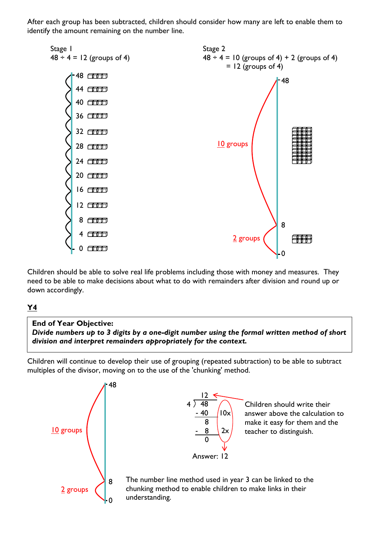After each group has been subtracted, children should consider how many are left to enable them to identify the amount remaining on the number line.



Children should be able to solve real life problems including those with money and measures. They need to be able to make decisions about what to do with remainders after division and round up or down accordingly.

### **Y4**

## **Y5** *division and interpret remainders appropriately for the context.* **End of Year Objective:** *Divide numbers up to 3 digits by a one-digit number using the formal written method of short*

Children will continue to develop their use of grouping (repeated subtraction) to be able to subtract multiples of the divisor, moving on to the use of the 'chunking' method.

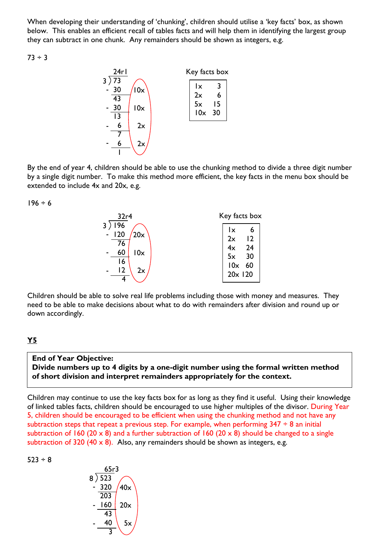When developing their understanding of 'chunking', children should utilise a 'key facts' box, as shown below. This enables an efficient recall of tables facts and will help them in identifying the largest group they can subtract in one chunk. Any remainders should be shown as integers, e.g.

 $73 \div 3$ 



By the end of year 4, children should be able to use the chunking method to divide a three digit number by a single digit number. To make this method more efficient, the key facts in the menu box should be extended to include 4x and 20x, e.g.

 $196 \div 6$ 



Children should be able to solve real life problems including those with money and measures. They need to be able to make decisions about what to do with remainders after division and round up or down accordingly.

#### **Y5**

## **End of Year Objective:**

**Divide numbers up to 4 digits by a one-digit number using the formal written method of short division and interpret remainders appropriately for the context.**

Children may continue to use the key facts box for as long as they find it useful. Using their knowledge of linked tables facts, children should be encouraged to use higher multiples of the divisor. During Year 5, children should be encouraged to be efficient when using the chunking method and not have any subtraction steps that repeat a previous step. For example, when performing  $347 \div 8$  an initial subtraction of 160 (20  $\times$  8) and a further subtraction of 160 (20  $\times$  8) should be changed to a single subtraction of 320 (40  $\times$  8). Also, any remainders should be shown as integers, e.g.



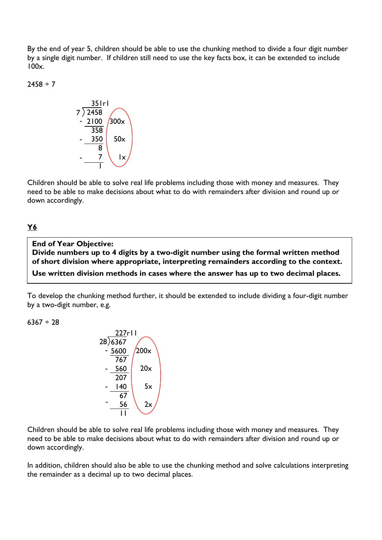By the end of year 5, children should be able to use the chunking method to divide a four digit number by a single digit number. If children still need to use the key facts box, it can be extended to include 100x.

 $2458 \div 7$ 



Children should be able to solve real life problems including those with money and measures. They need to be able to make decisions about what to do with remainders after division and round up or down accordingly.

#### **Y6**

**End of Year Objective: Divide numbers up to 4 digits by a two-digit number using the formal written method of short division where appropriate, interpreting remainders according to the context. Use written division methods in cases where the answer has up to two decimal places.**

To develop the chunking method further, it should be extended to include dividing a four-digit number by a two-digit number, e.g.

 $6367 \div 28$ 



Children should be able to solve real life problems including those with money and measures. They need to be able to make decisions about what to do with remainders after division and round up or down accordingly.

In addition, children should also be able to use the chunking method and solve calculations interpreting the remainder as a decimal up to two decimal places.